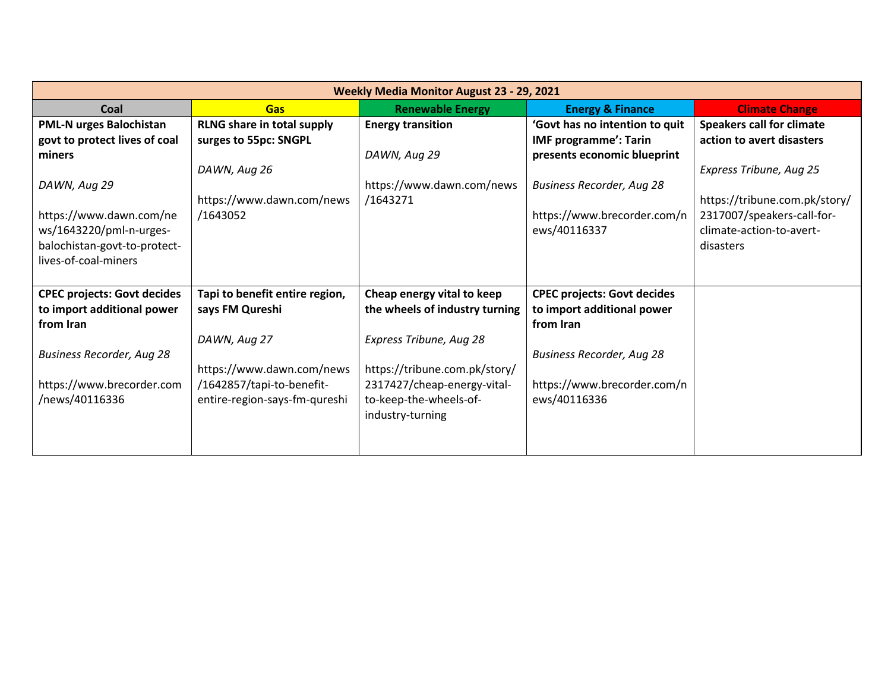| <b>Weekly Media Monitor August 23 - 29, 2021</b> |                                   |                                |                                    |                                  |
|--------------------------------------------------|-----------------------------------|--------------------------------|------------------------------------|----------------------------------|
| Coal                                             | <b>Gas</b>                        | <b>Renewable Energy</b>        | <b>Energy &amp; Finance</b>        | <b>Climate Change</b>            |
| PML-N urges Balochistan                          | <b>RLNG share in total supply</b> | <b>Energy transition</b>       | 'Govt has no intention to quit     | <b>Speakers call for climate</b> |
| govt to protect lives of coal                    | surges to 55pc: SNGPL             |                                | <b>IMF programme': Tarin</b>       | action to avert disasters        |
| miners                                           |                                   | DAWN, Aug 29                   | presents economic blueprint        |                                  |
|                                                  | DAWN, Aug 26                      |                                |                                    | Express Tribune, Aug 25          |
| DAWN, Aug 29                                     |                                   | https://www.dawn.com/news      | <b>Business Recorder, Aug 28</b>   |                                  |
|                                                  | https://www.dawn.com/news         | /1643271                       |                                    | https://tribune.com.pk/story/    |
| https://www.dawn.com/ne                          | /1643052                          |                                | https://www.brecorder.com/n        | 2317007/speakers-call-for-       |
| ws/1643220/pml-n-urges-                          |                                   |                                | ews/40116337                       | climate-action-to-avert-         |
| balochistan-govt-to-protect-                     |                                   |                                |                                    | disasters                        |
| lives-of-coal-miners                             |                                   |                                |                                    |                                  |
|                                                  |                                   |                                |                                    |                                  |
| <b>CPEC projects: Govt decides</b>               | Tapi to benefit entire region,    | Cheap energy vital to keep     | <b>CPEC projects: Govt decides</b> |                                  |
| to import additional power                       | says FM Qureshi                   | the wheels of industry turning | to import additional power         |                                  |
| from Iran                                        |                                   |                                | from Iran                          |                                  |
|                                                  | DAWN, Aug 27                      | Express Tribune, Aug 28        |                                    |                                  |
| <b>Business Recorder, Aug 28</b>                 |                                   |                                | <b>Business Recorder, Aug 28</b>   |                                  |
|                                                  | https://www.dawn.com/news         | https://tribune.com.pk/story/  |                                    |                                  |
| https://www.brecorder.com                        | /1642857/tapi-to-benefit-         | 2317427/cheap-energy-vital-    | https://www.brecorder.com/n        |                                  |
| /news/40116336                                   | entire-region-says-fm-qureshi     | to-keep-the-wheels-of-         | ews/40116336                       |                                  |
|                                                  |                                   | industry-turning               |                                    |                                  |
|                                                  |                                   |                                |                                    |                                  |
|                                                  |                                   |                                |                                    |                                  |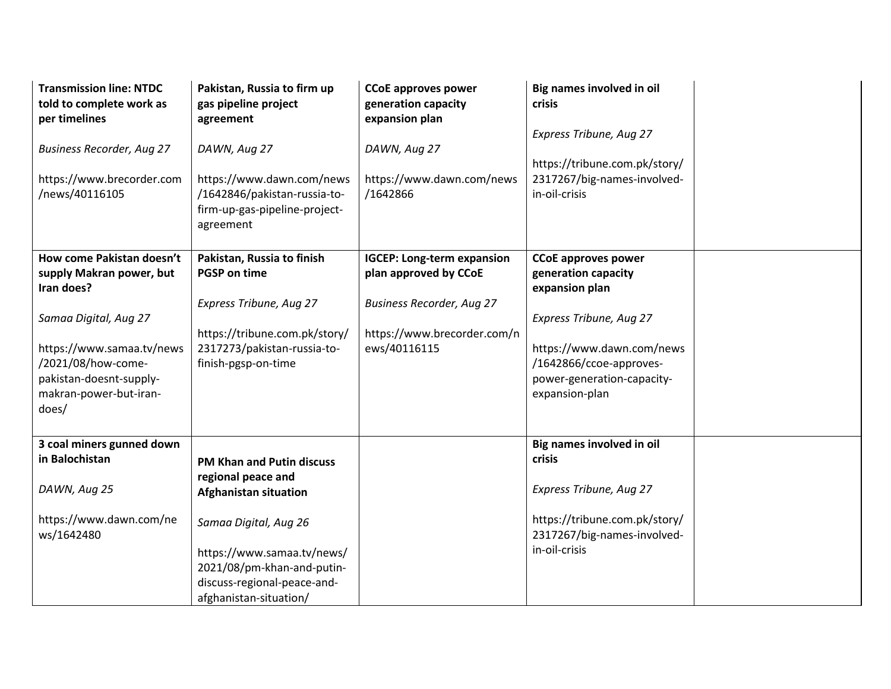| <b>Transmission line: NTDC</b><br>told to complete work as<br>per timelines<br><b>Business Recorder, Aug 27</b><br>https://www.brecorder.com<br>/news/40116105                                                | Pakistan, Russia to firm up<br>gas pipeline project<br>agreement<br>DAWN, Aug 27<br>https://www.dawn.com/news<br>/1642846/pakistan-russia-to-<br>firm-up-gas-pipeline-project-<br>agreement                                          | <b>CCoE approves power</b><br>generation capacity<br>expansion plan<br>DAWN, Aug 27<br>https://www.dawn.com/news<br>/1642866                  | Big names involved in oil<br>crisis<br>Express Tribune, Aug 27<br>https://tribune.com.pk/story/<br>2317267/big-names-involved-<br>in-oil-crisis                                                        |  |
|---------------------------------------------------------------------------------------------------------------------------------------------------------------------------------------------------------------|--------------------------------------------------------------------------------------------------------------------------------------------------------------------------------------------------------------------------------------|-----------------------------------------------------------------------------------------------------------------------------------------------|--------------------------------------------------------------------------------------------------------------------------------------------------------------------------------------------------------|--|
| How come Pakistan doesn't<br>supply Makran power, but<br>Iran does?<br>Samaa Digital, Aug 27<br>https://www.samaa.tv/news<br>/2021/08/how-come-<br>pakistan-doesnt-supply-<br>makran-power-but-iran-<br>does/ | Pakistan, Russia to finish<br><b>PGSP on time</b><br>Express Tribune, Aug 27<br>https://tribune.com.pk/story/<br>2317273/pakistan-russia-to-<br>finish-pgsp-on-time                                                                  | <b>IGCEP: Long-term expansion</b><br>plan approved by CCoE<br><b>Business Recorder, Aug 27</b><br>https://www.brecorder.com/n<br>ews/40116115 | <b>CCoE approves power</b><br>generation capacity<br>expansion plan<br>Express Tribune, Aug 27<br>https://www.dawn.com/news<br>/1642866/ccoe-approves-<br>power-generation-capacity-<br>expansion-plan |  |
| 3 coal miners gunned down<br>in Balochistan<br>DAWN, Aug 25<br>https://www.dawn.com/ne<br>ws/1642480                                                                                                          | <b>PM Khan and Putin discuss</b><br>regional peace and<br><b>Afghanistan situation</b><br>Samaa Digital, Aug 26<br>https://www.samaa.tv/news/<br>2021/08/pm-khan-and-putin-<br>discuss-regional-peace-and-<br>afghanistan-situation/ |                                                                                                                                               | Big names involved in oil<br>crisis<br>Express Tribune, Aug 27<br>https://tribune.com.pk/story/<br>2317267/big-names-involved-<br>in-oil-crisis                                                        |  |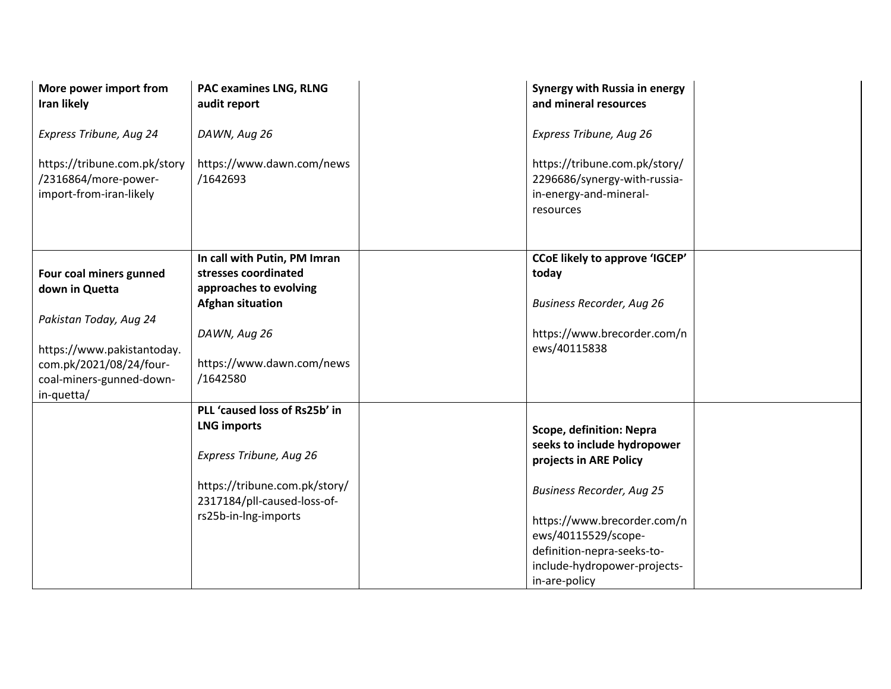| More power import from<br>Iran likely                                                                       | <b>PAC examines LNG, RLNG</b><br>audit report                                                             | Synergy with Russia in energy<br>and mineral resources                                                                                                                |  |
|-------------------------------------------------------------------------------------------------------------|-----------------------------------------------------------------------------------------------------------|-----------------------------------------------------------------------------------------------------------------------------------------------------------------------|--|
| Express Tribune, Aug 24                                                                                     | DAWN, Aug 26                                                                                              | Express Tribune, Aug 26                                                                                                                                               |  |
| https://tribune.com.pk/story<br>/2316864/more-power-<br>import-from-iran-likely                             | https://www.dawn.com/news<br>/1642693                                                                     | https://tribune.com.pk/story/<br>2296686/synergy-with-russia-<br>in-energy-and-mineral-<br>resources                                                                  |  |
| Four coal miners gunned<br>down in Quetta                                                                   | In call with Putin, PM Imran<br>stresses coordinated<br>approaches to evolving<br><b>Afghan situation</b> | <b>CCoE likely to approve 'IGCEP'</b><br>today<br><b>Business Recorder, Aug 26</b>                                                                                    |  |
| Pakistan Today, Aug 24<br>https://www.pakistantoday.<br>com.pk/2021/08/24/four-<br>coal-miners-gunned-down- | DAWN, Aug 26<br>https://www.dawn.com/news<br>/1642580                                                     | https://www.brecorder.com/n<br>ews/40115838                                                                                                                           |  |
| in-quetta/                                                                                                  | PLL 'caused loss of Rs25b' in<br><b>LNG imports</b><br>Express Tribune, Aug 26                            | Scope, definition: Nepra<br>seeks to include hydropower<br>projects in ARE Policy                                                                                     |  |
|                                                                                                             | https://tribune.com.pk/story/<br>2317184/pll-caused-loss-of-<br>rs25b-in-lng-imports                      | <b>Business Recorder, Aug 25</b><br>https://www.brecorder.com/n<br>ews/40115529/scope-<br>definition-nepra-seeks-to-<br>include-hydropower-projects-<br>in-are-policy |  |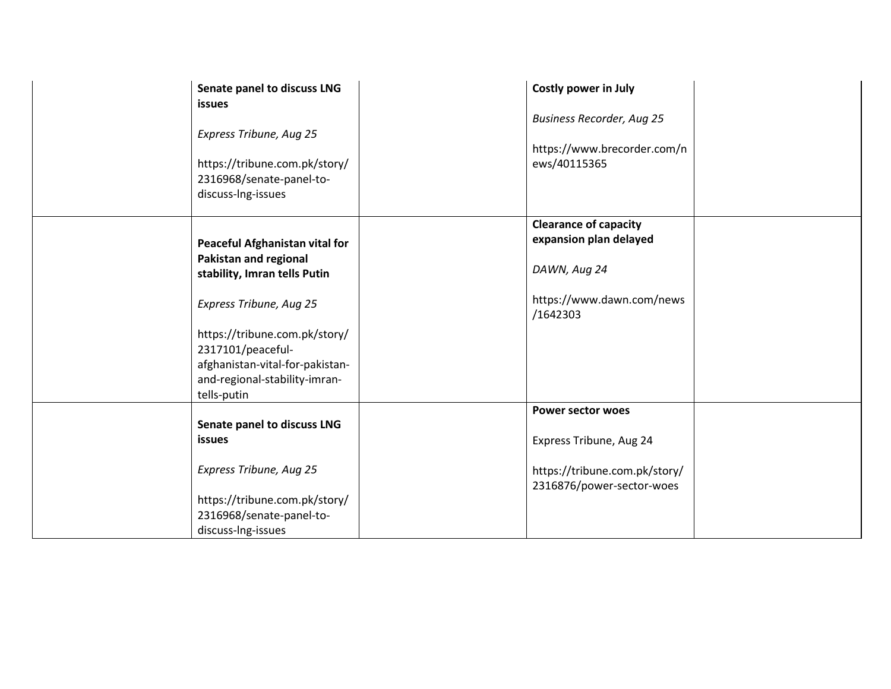| Senate panel to discuss LNG     | Costly power in July             |
|---------------------------------|----------------------------------|
| <b>issues</b>                   |                                  |
|                                 | <b>Business Recorder, Aug 25</b> |
| Express Tribune, Aug 25         |                                  |
|                                 | https://www.brecorder.com/n      |
| https://tribune.com.pk/story/   | ews/40115365                     |
| 2316968/senate-panel-to-        |                                  |
| discuss-Ing-issues              |                                  |
|                                 |                                  |
|                                 | <b>Clearance of capacity</b>     |
| Peaceful Afghanistan vital for  | expansion plan delayed           |
| <b>Pakistan and regional</b>    |                                  |
| stability, Imran tells Putin    | DAWN, Aug 24                     |
|                                 |                                  |
| Express Tribune, Aug 25         | https://www.dawn.com/news        |
|                                 | /1642303                         |
| https://tribune.com.pk/story/   |                                  |
| 2317101/peaceful-               |                                  |
| afghanistan-vital-for-pakistan- |                                  |
| and-regional-stability-imran-   |                                  |
| tells-putin                     |                                  |
|                                 | <b>Power sector woes</b>         |
| Senate panel to discuss LNG     |                                  |
| <b>issues</b>                   | Express Tribune, Aug 24          |
|                                 |                                  |
| Express Tribune, Aug 25         | https://tribune.com.pk/story/    |
|                                 | 2316876/power-sector-woes        |
| https://tribune.com.pk/story/   |                                  |
| 2316968/senate-panel-to-        |                                  |
| discuss-Ing-issues              |                                  |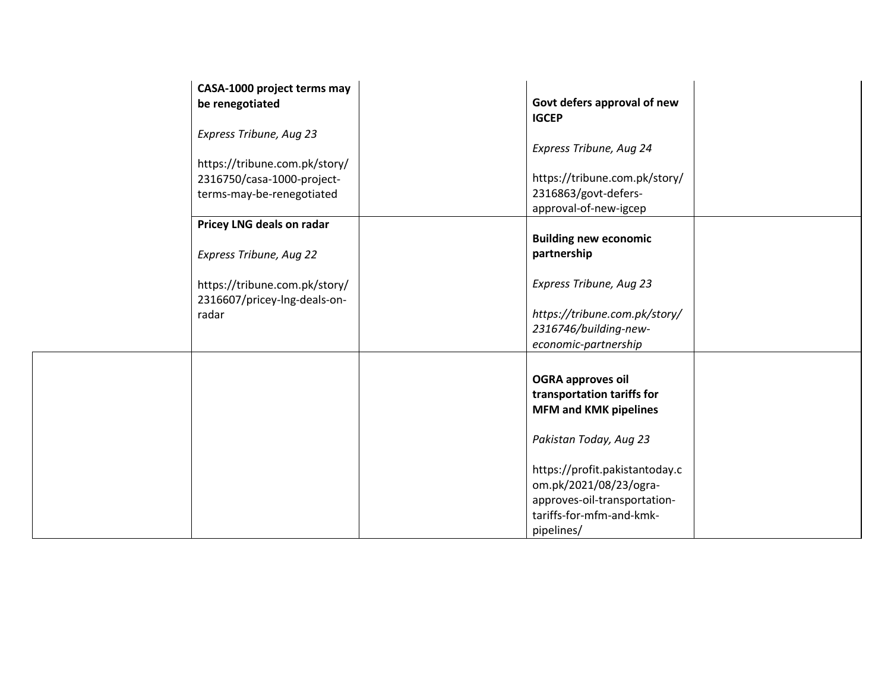| CASA-1000 project terms may<br>be renegotiated                                           | Govt defers approval of new<br><b>IGCEP</b>                                                                                                                                                                                                            |
|------------------------------------------------------------------------------------------|--------------------------------------------------------------------------------------------------------------------------------------------------------------------------------------------------------------------------------------------------------|
| Express Tribune, Aug 23                                                                  | Express Tribune, Aug 24                                                                                                                                                                                                                                |
| https://tribune.com.pk/story/<br>2316750/casa-1000-project-<br>terms-may-be-renegotiated | https://tribune.com.pk/story/<br>2316863/govt-defers-<br>approval-of-new-igcep                                                                                                                                                                         |
| Pricey LNG deals on radar<br>Express Tribune, Aug 22                                     | <b>Building new economic</b><br>partnership                                                                                                                                                                                                            |
| https://tribune.com.pk/story/<br>2316607/pricey-lng-deals-on-<br>radar                   | Express Tribune, Aug 23<br>https://tribune.com.pk/story/<br>2316746/building-new-<br>economic-partnership                                                                                                                                              |
|                                                                                          | <b>OGRA approves oil</b><br>transportation tariffs for<br><b>MFM and KMK pipelines</b><br>Pakistan Today, Aug 23<br>https://profit.pakistantoday.c<br>om.pk/2021/08/23/ogra-<br>approves-oil-transportation-<br>tariffs-for-mfm-and-kmk-<br>pipelines/ |